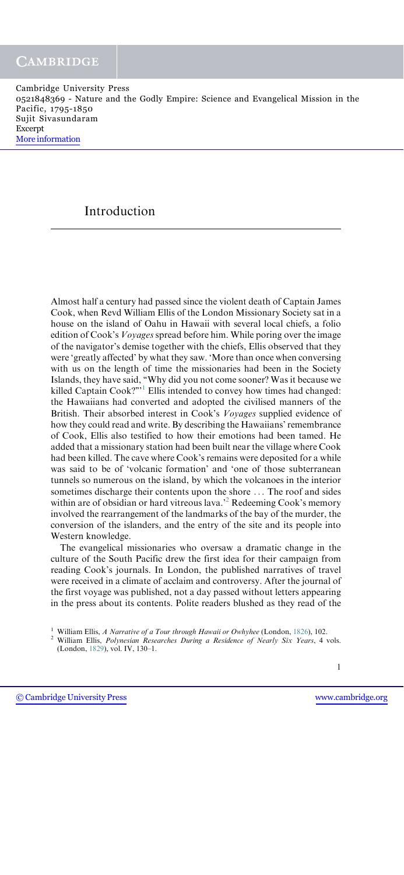# Introduction

Almost half a century had passed since the violent death of Captain James Cook, when Revd William Ellis of the London Missionary Society sat in a house on the island of Oahu in Hawaii with several local chiefs, a folio edition of Cook's Voyages spread before him. While poring over the image of the navigator's demise together with the chiefs, Ellis observed that they were 'greatly affected' by what they saw. 'More than once when conversing with us on the length of time the missionaries had been in the Society Islands, they have said, ''Why did you not come sooner? Was it because we killed Captain Cook?"<sup>1</sup> Ellis intended to convey how times had changed: the Hawaiians had converted and adopted the civilised manners of the British. Their absorbed interest in Cook's Voyages supplied evidence of how they could read and write. By describing the Hawaiians' remembrance of Cook, Ellis also testified to how their emotions had been tamed. He added that a missionary station had been built near the village where Cook had been killed. The cave where Cook's remains were deposited for a while was said to be of 'volcanic formation' and 'one of those subterranean tunnels so numerous on the island, by which the volcanoes in the interior sometimes discharge their contents upon the shore ... The roof and sides within are of obsidian or hard vitreous lava.<sup>22</sup> Redeeming Cook's memory involved the rearrangement of the landmarks of the bay of the murder, the conversion of the islanders, and the entry of the site and its people into Western knowledge.

The evangelical missionaries who oversaw a dramatic change in the culture of the South Pacific drew the first idea for their campaign from reading Cook's journals. In London, the published narratives of travel were received in a climate of acclaim and controversy. After the journal of the first voyage was published, not a day passed without letters appearing in the press about its contents. Polite readers blushed as they read of the

<sup>&</sup>lt;sup>1</sup> William Ellis, *A Narrative of a Tour through Hawaii or Owhyhee* (London, 1826), 102. <sup>2</sup> William Ellis, *Polynesian Researches During a Residence of Nearly Six Years*, 4 vols. (London, 1829), vol. IV, 130–1.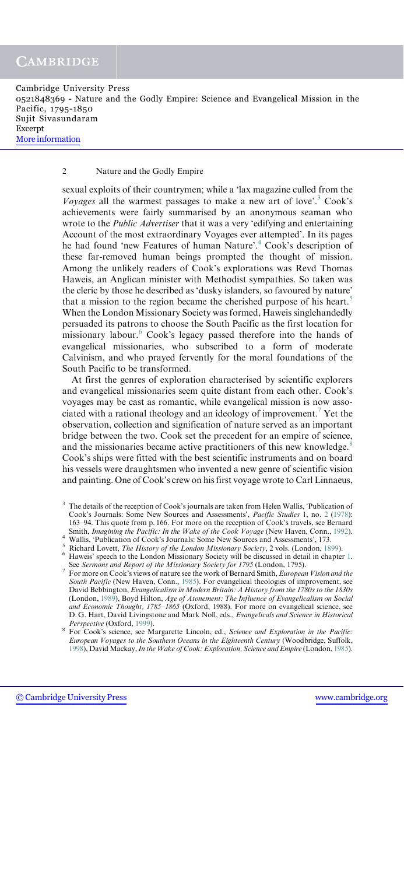Cambridge University Press 0521848369 - Nature and the Godly Empire: Science and Evangelical Mission in the Pacific, 1795-1850 Sujit Sivasundaram Excerpt [More information](http://www.cambridge.org/0521848369)

### 2 Nature and the Godly Empire

sexual exploits of their countrymen; while a 'lax magazine culled from the *Voyages* all the warmest passages to make a new art of love'.<sup>3</sup> Cook's achievements were fairly summarised by an anonymous seaman who wrote to the *Public Advertiser* that it was a very 'edifying and entertaining Account of the most extraordinary Voyages ever attempted'. In its pages he had found 'new Features of human Nature'.<sup>4</sup> Cook's description of these far-removed human beings prompted the thought of mission. Among the unlikely readers of Cook's explorations was Revd Thomas Haweis, an Anglican minister with Methodist sympathies. So taken was the cleric by those he described as 'dusky islanders, so favoured by nature' that a mission to the region became the cherished purpose of his heart.<sup>5</sup> When the London Missionary Society was formed, Haweis singlehandedly persuaded its patrons to choose the South Pacific as the first location for missionary labour.<sup>6</sup> Cook's legacy passed therefore into the hands of evangelical missionaries, who subscribed to a form of moderate Calvinism, and who prayed fervently for the moral foundations of the South Pacific to be transformed.

At first the genres of exploration characterised by scientific explorers and evangelical missionaries seem quite distant from each other. Cook's voyages may be cast as romantic, while evangelical mission is now associated with a rational theology and an ideology of improvement.<sup>7</sup> Yet the observation, collection and signification of nature served as an important bridge between the two. Cook set the precedent for an empire of science, and the missionaries became active practitioners of this new knowledge.<sup>8</sup> Cook's ships were fitted with the best scientific instruments and on board his vessels were draughtsmen who invented a new genre of scientific vision and painting. One of Cook's crew on his first voyage wrote to Carl Linnaeus,

<sup>&</sup>lt;sup>3</sup> The details of the reception of Cook's journals are taken from Helen Wallis, 'Publication of Cook's Journals: Some New Sources and Assessments', Pacific Studies 1, no. 2 (1978): 163–94. This quote from p. 166. For more on the reception of Cook's travels, see Bernard Smith, *Imagining the Pacific: In the Wake of the Cook Voyage* (New Haven, Conn., 1992).

<sup>&</sup>lt;sup>4</sup> Wallis, 'Publication of Cook's Journals: Some New Sources and Assessments', 173.<br><sup>5</sup> Richard Lovett, *The History of the London Missionary Society*, 2 vols. (London, 1899).<br><sup>6</sup> Haweis' speech to the London Missionary

<sup>&</sup>lt;sup>7</sup> For more on Cook's views of nature see the work of Bernard Smith, *European Vision and the* South Pacific (New Haven, Conn., 1985). For evangelical theologies of improvement, see David Bebbington, Evangelicalism in Modern Britain: A History from the 1780s to the 1830s (London, 1989), Boyd Hilton, Age of Atonement: The Influence of Evangelicalism on Social and Economic Thought, 1785–1865 (Oxford, 1988). For more on evangelical science, see D. G. Hart, David Livingstone and Mark Noll, eds., Evangelicals and Science in Historical Perspective (Oxford, 1999).

Perspective (Oxford, 1999).<br>8 For Cook's science, see Margarette Lincoln, ed., Science and Exploration in the Pacific: European Voyages to the Southern Oceans in the Eighteenth Century (Woodbridge, Suffolk, 1998), David Mackay, In the Wake of Cook: Exploration, Science and Empire (London, 1985).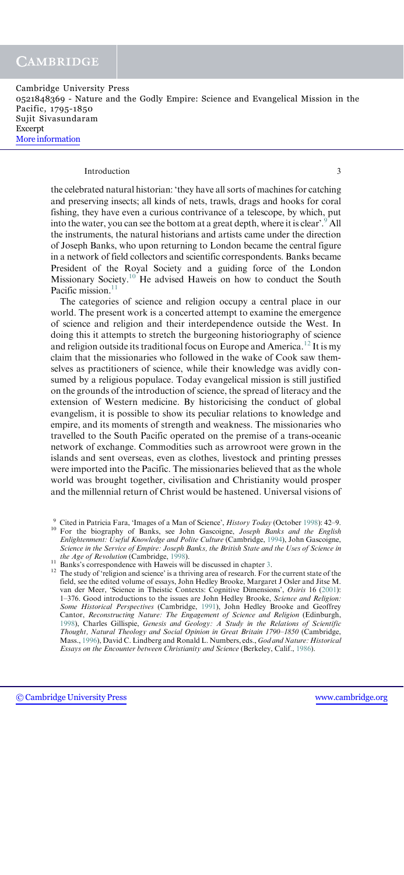#### Introduction 3

the celebrated natural historian: 'they have all sorts of machines for catching and preserving insects; all kinds of nets, trawls, drags and hooks for coral fishing, they have even a curious contrivance of a telescope, by which, put into the water, you can see the bottom at a great depth, where it is clear'.  $^9$  All the instruments, the natural historians and artists came under the direction of Joseph Banks, who upon returning to London became the central figure in a network of field collectors and scientific correspondents. Banks became President of the Royal Society and a guiding force of the London Missionary Society.<sup>10</sup> He advised Haweis on how to conduct the South Pacific mission.<sup>11</sup>

The categories of science and religion occupy a central place in our world. The present work is a concerted attempt to examine the emergence of science and religion and their interdependence outside the West. In doing this it attempts to stretch the burgeoning historiography of science and religion outside its traditional focus on Europe and America.<sup>12</sup> It is my claim that the missionaries who followed in the wake of Cook saw themselves as practitioners of science, while their knowledge was avidly consumed by a religious populace. Today evangelical mission is still justified on the grounds of the introduction of science, the spread of literacy and the extension of Western medicine. By historicising the conduct of global evangelism, it is possible to show its peculiar relations to knowledge and empire, and its moments of strength and weakness. The missionaries who travelled to the South Pacific operated on the premise of a trans-oceanic network of exchange. Commodities such as arrowroot were grown in the islands and sent overseas, even as clothes, livestock and printing presses were imported into the Pacific. The missionaries believed that as the whole world was brought together, civilisation and Christianity would prosper and the millennial return of Christ would be hastened. Universal visions of

<sup>9</sup> Cited in Patricia Fara, 'Images of a Man of Science', *History Today* (October 1998): 42–9. <sup>10</sup> For the biography of Banks, see John Gascoigne, *Joseph Banks and the English* Enlightenment: Useful Knowledge and Polite Culture (Cambridge, 1994), John Gascoigne, Science in the Service of Empire: Joseph Banks, the British State and the Uses of Science in the Age of Revolution (Cambridge, 1998).

<sup>11</sup> Banks's correspondence with Haweis will be discussed in chapter 3. <sup>12</sup> The study of 'religion and science' is a thriving area of research. For the current state of the field, see the edited volume of essays, John Hedley Brooke, Margaret J Osler and Jitse M. van der Meer, 'Science in Theistic Contexts: Cognitive Dimensions', Osiris 16 (2001): 1–376. Good introductions to the issues are John Hedley Brooke, Science and Religion: Some Historical Perspectives (Cambridge, 1991), John Hedley Brooke and Geoffrey Cantor, Reconstructing Nature: The Engagement of Science and Religion (Edinburgh, 1998), Charles Gillispie, Genesis and Geology: A Study in the Relations of Scientific Thought, Natural Theology and Social Opinion in Great Britain 1790–1850 (Cambridge, Mass., 1996), David C. Lindberg and Ronald L. Numbers, eds., God and Nature: Historical Essays on the Encounter between Christianity and Science (Berkeley, Calif., 1986).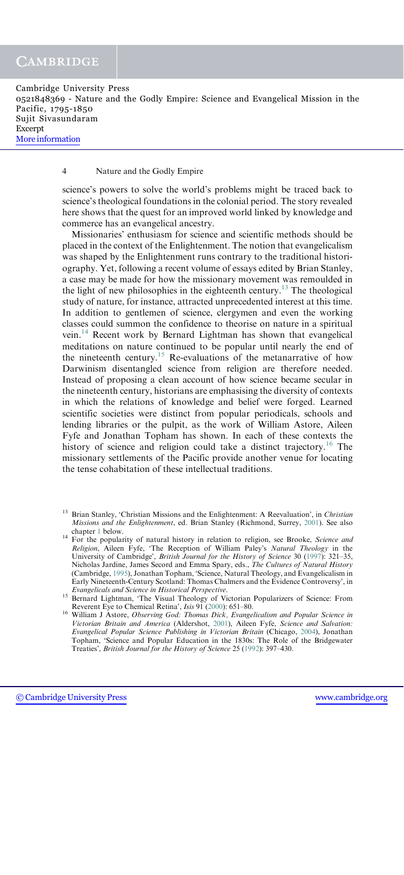Cambridge University Press 0521848369 - Nature and the Godly Empire: Science and Evangelical Mission in the Pacific, 1795-1850 Sujit Sivasundaram Excerpt [More information](http://www.cambridge.org/0521848369)

### 4 Nature and the Godly Empire

science's powers to solve the world's problems might be traced back to science's theological foundations in the colonial period. The story revealed here shows that the quest for an improved world linked by knowledge and commerce has an evangelical ancestry.

Missionaries' enthusiasm for science and scientific methods should be placed in the context of the Enlightenment. The notion that evangelicalism was shaped by the Enlightenment runs contrary to the traditional historiography. Yet, following a recent volume of essays edited by Brian Stanley, a case may be made for how the missionary movement was remoulded in the light of new philosophies in the eighteenth century.<sup>13</sup> The theological study of nature, for instance, attracted unprecedented interest at this time. In addition to gentlemen of science, clergymen and even the working classes could summon the confidence to theorise on nature in a spiritual vein.<sup>14</sup> Recent work by Bernard Lightman has shown that evangelical meditations on nature continued to be popular until nearly the end of the nineteenth century.<sup>15</sup> Re-evaluations of the metanarrative of how Darwinism disentangled science from religion are therefore needed. Instead of proposing a clean account of how science became secular in the nineteenth century, historians are emphasising the diversity of contexts in which the relations of knowledge and belief were forged. Learned scientific societies were distinct from popular periodicals, schools and lending libraries or the pulpit, as the work of William Astore, Aileen Fyfe and Jonathan Topham has shown. In each of these contexts the history of science and religion could take a distinct trajectory.<sup>16</sup> The missionary settlements of the Pacific provide another venue for locating the tense cohabitation of these intellectual traditions.

Brian Stanley, 'Christian Missions and the Enlightenment: A Reevaluation', in Christian Missions and the Enlightenment, ed. Brian Stanley (Richmond, Surrey, 2001). See also chapter 1 below.

<sup>&</sup>lt;sup>14</sup> For the popularity of natural history in relation to religion, see Brooke, *Science and* For the popularity of natural history in relation. Religion, Aileen Fyfe, 'The Reception of William Paley's Natural Theology in the University of Cambridge', British Journal for the History of Science 30 (1997): 321–35, Nicholas Jardine, James Secord and Emma Spary, eds., The Cultures of Natural History (Cambridge, 1995), Jonathan Topham, 'Science, Natural Theology, and Evangelicalism in Early Nineteenth-Century Scotland: Thomas Chalmers and the Evidence Controversy', in

Evangelicals and Science in Historical Perspective.<br><sup>15</sup> Bernard Lightman, 'The Visual Theology of Victorian Popularizers of Science: From<br>15 Reverent Eye to Chemical Retina', *Isis* 91 (2000): 651–80.

<sup>&</sup>lt;sup>16</sup> William J Astore, *Observing God: Thomas Dick, Evangelicalism and Popular Science in* Victorian Britain and America (Aldershot, 2001), Aileen Fyfe, Science and Salvation: Evangelical Popular Science Publishing in Victorian Britain (Chicago, 2004), Jonathan Topham, 'Science and Popular Education in the 1830s: The Role of the Bridgewater Treaties', British Journal for the History of Science 25 (1992): 397–430.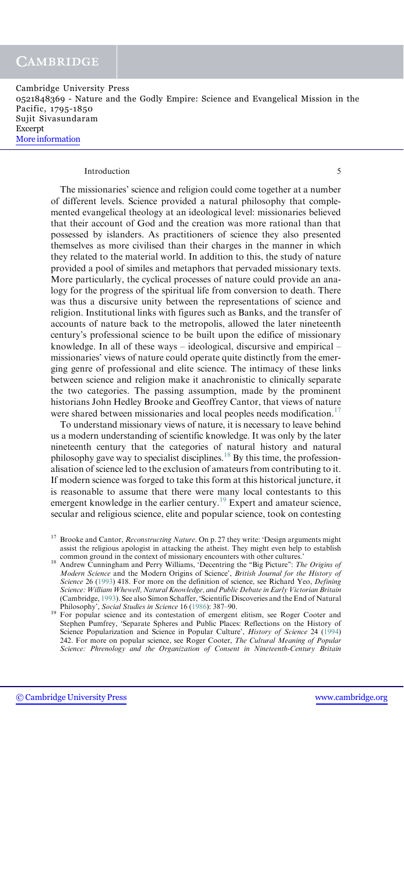#### Introduction 5

The missionaries' science and religion could come together at a number of different levels. Science provided a natural philosophy that complemented evangelical theology at an ideological level: missionaries believed that their account of God and the creation was more rational than that possessed by islanders. As practitioners of science they also presented themselves as more civilised than their charges in the manner in which they related to the material world. In addition to this, the study of nature provided a pool of similes and metaphors that pervaded missionary texts. More particularly, the cyclical processes of nature could provide an analogy for the progress of the spiritual life from conversion to death. There was thus a discursive unity between the representations of science and religion. Institutional links with figures such as Banks, and the transfer of accounts of nature back to the metropolis, allowed the later nineteenth century's professional science to be built upon the edifice of missionary knowledge. In all of these ways – ideological, discursive and empirical – missionaries' views of nature could operate quite distinctly from the emerging genre of professional and elite science. The intimacy of these links between science and religion make it anachronistic to clinically separate the two categories. The passing assumption, made by the prominent historians John Hedley Brooke and Geoffrey Cantor, that views of nature were shared between missionaries and local peoples needs modification.<sup>17</sup>

To understand missionary views of nature, it is necessary to leave behind us a modern understanding of scientific knowledge. It was only by the later nineteenth century that the categories of natural history and natural philosophy gave way to specialist disciplines.18 By this time, the professionalisation of science led to the exclusion of amateurs from contributing to it. If modern science was forged to take this form at this historical juncture, it is reasonable to assume that there were many local contestants to this emergent knowledge in the earlier century.<sup>19</sup> Expert and amateur science, secular and religious science, elite and popular science, took on contesting

 $17$  Brooke and Cantor, *Reconstructing Nature*. On p. 27 they write: 'Design arguments might assist the religious apologist in attacking the atheist. They might even help to establish

 $18$  Andrew Cunningham and Perry Williams, 'Decentring the "Big Picture": The Origins of Modern Science and the Modern Origins of Science', British Journal for the History of Science 26 (1993) 418. For more on the definition of science, see Richard Yeo, Defining Science: William Whewell, Natural Knowledge, and Public Debate in Early Victorian Britain (Cambridge, 1993). See also Simon Schaffer, 'Scientific Discoveries and the End of Natural Philosophy', Social Studies in Science 16 (1986): 387-90.

 $P<sup>19</sup>$  For popular science and its contestation of emergent elitism, see Roger Cooter and Stephen Pumfrey, 'Separate Spheres and Public Places: Reflections on the History of Science Popularization and Science in Popular Culture', History of Science 24 (1994) 242. For more on popular science, see Roger Cooter, The Cultural Meaning of Popular Science: Phrenology and the Organization of Consent in Nineteenth-Century Britain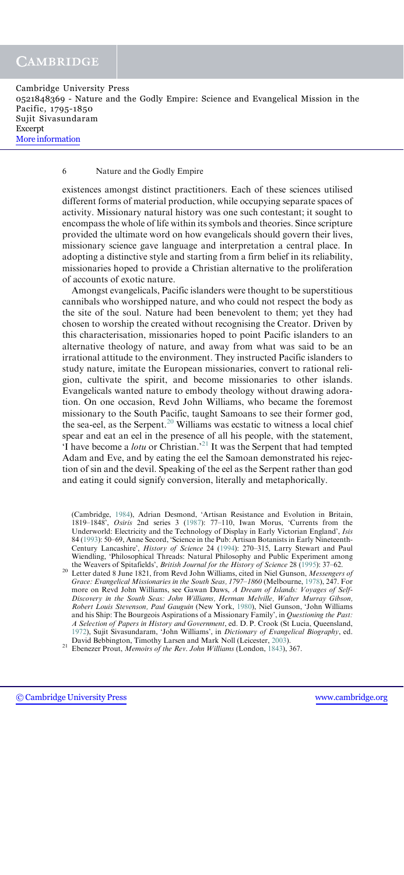Cambridge University Press 0521848369 - Nature and the Godly Empire: Science and Evangelical Mission in the Pacific, 1795-1850 Sujit Sivasundaram Excerpt [More information](http://www.cambridge.org/0521848369)

#### 6 Nature and the Godly Empire

existences amongst distinct practitioners. Each of these sciences utilised different forms of material production, while occupying separate spaces of activity. Missionary natural history was one such contestant; it sought to encompass the whole of life within its symbols and theories. Since scripture provided the ultimate word on how evangelicals should govern their lives, missionary science gave language and interpretation a central place. In adopting a distinctive style and starting from a firm belief in its reliability, missionaries hoped to provide a Christian alternative to the proliferation of accounts of exotic nature.

Amongst evangelicals, Pacific islanders were thought to be superstitious cannibals who worshipped nature, and who could not respect the body as the site of the soul. Nature had been benevolent to them; yet they had chosen to worship the created without recognising the Creator. Driven by this characterisation, missionaries hoped to point Pacific islanders to an alternative theology of nature, and away from what was said to be an irrational attitude to the environment. They instructed Pacific islanders to study nature, imitate the European missionaries, convert to rational religion, cultivate the spirit, and become missionaries to other islands. Evangelicals wanted nature to embody theology without drawing adoration. On one occasion, Revd John Williams, who became the foremost missionary to the South Pacific, taught Samoans to see their former god, the sea-eel, as the Serpent.<sup>20</sup> Williams was ecstatic to witness a local chief spear and eat an eel in the presence of all his people, with the statement,  $\overline{Y}$  have become a *lotu* or Christian.<sup>21</sup> It was the Serpent that had tempted Adam and Eve, and by eating the eel the Samoan demonstrated his rejection of sin and the devil. Speaking of the eel as the Serpent rather than god and eating it could signify conversion, literally and metaphorically.

<sup>(</sup>Cambridge, 1984), Adrian Desmond, 'Artisan Resistance and Evolution in Britain, 1819–1848', Osiris 2nd series 3 (1987): 77–110, Iwan Morus, 'Currents from the Underworld: Electricity and the Technology of Display in Early Victorian England', Isis 84 (1993): 50–69, Anne Secord, 'Science in the Pub: Artisan Botanists in Early Nineteenth-Century Lancashire', History of Science 24 (1994): 270–315, Larry Stewart and Paul Wiendling, 'Philosophical Threads: Natural Philosophy and Public Experiment among the Weavers of Spitafields', *British Journal for the History of Science* 28 (1995): 37–62.

<sup>&</sup>lt;sup>20</sup> Letter dated 8 June 1821, from Revd John Williams, cited in Niel Gunson, Messengers of Grace: Evangelical Missionaries in the South Seas, 1797–1860 (Melbourne, 1978), 247. For more on Revd John Williams, see Gawan Daws, A Dream of Islands: Voyages of Self-Discovery in the South Seas: John Williams, Herman Melville, Walter Murray Gibson, Robert Louis Stevenson, Paul Gauguin (New York, 1980), Niel Gunson, 'John Williams and his Ship: The Bourgeois Aspirations of a Missionary Family', in Questioning the Past: A Selection of Papers in History and Government, ed. D. P. Crook (St Lucia, Queensland, 1972), Sujit Sivasundaram, 'John Williams', in *Dictionary of Evangelical Biography*, ed. David Bebbington, Timothy Larsen and Mark Noll (Leicester, 2003).

 $21$  Ebenezer Prout, *Memoirs of the Rev. John Williams* (London, 1843), 367.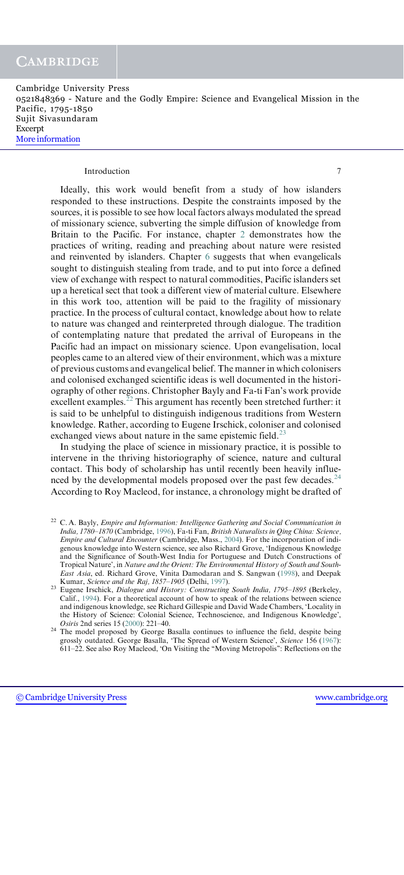#### Introduction 7

Ideally, this work would benefit from a study of how islanders responded to these instructions. Despite the constraints imposed by the sources, it is possible to see how local factors always modulated the spread of missionary science, subverting the simple diffusion of knowledge from Britain to the Pacific. For instance, chapter 2 demonstrates how the practices of writing, reading and preaching about nature were resisted and reinvented by islanders. Chapter 6 suggests that when evangelicals sought to distinguish stealing from trade, and to put into force a defined view of exchange with respect to natural commodities, Pacific islanders set up a heretical sect that took a different view of material culture. Elsewhere in this work too, attention will be paid to the fragility of missionary practice. In the process of cultural contact, knowledge about how to relate to nature was changed and reinterpreted through dialogue. The tradition of contemplating nature that predated the arrival of Europeans in the Pacific had an impact on missionary science. Upon evangelisation, local peoples came to an altered view of their environment, which was a mixture of previous customs and evangelical belief. The manner in which colonisers and colonised exchanged scientific ideas is well documented in the historiography of other regions. Christopher Bayly and Fa-ti Fan's work provide excellent examples. $^{22}$  This argument has recently been stretched further: it is said to be unhelpful to distinguish indigenous traditions from Western knowledge. Rather, according to Eugene Irschick, coloniser and colonised exchanged views about nature in the same epistemic field. $^{23}$ 

In studying the place of science in missionary practice, it is possible to intervene in the thriving historiography of science, nature and cultural contact. This body of scholarship has until recently been heavily influenced by the developmental models proposed over the past few decades.<sup>24</sup> According to Roy Macleod, for instance, a chronology might be drafted of

 $22$  C. A. Bayly, *Empire and Information: Intelligence Gathering and Social Communication in* India, 1780–1870 (Cambridge, 1996), Fa-ti Fan, British Naturalists in Qing China: Science, Empire and Cultural Encounter (Cambridge, Mass., 2004). For the incorporation of indigenous knowledge into Western science, see also Richard Grove, 'Indigenous Knowledge and the Significance of South-West India for Portuguese and Dutch Constructions of Tropical Nature', in Nature and the Orient: The Environmental History of South and South-East Asia, ed. Richard Grove, Vinita Damodaran and S. Sangwan (1998), and Deepak Kumar, Science and the Raj, 1857–1905 (Delhi, 1997).

<sup>&</sup>lt;sup>23</sup> Eugene Irschick, Dialogue and History: Constructing South India, 1795–1895 (Berkeley, Calif., 1994). For a theoretical account of how to speak of the relations between science and indigenous knowledge, see Richard Gillespie and David Wade Chambers, 'Locality in the History of Science: Colonial Science, Technoscience, and Indigenous Knowledge', Osiris 2nd series 15 (2000): 221–40.

<sup>&</sup>lt;sup>24</sup> The model proposed by George Basalla continues to influence the field, despite being grossly outdated. George Basalla, 'The Spread of Western Science', Science 156 (1967): 611–22. See also Roy Macleod, 'On Visiting the ''Moving Metropolis'': Reflections on the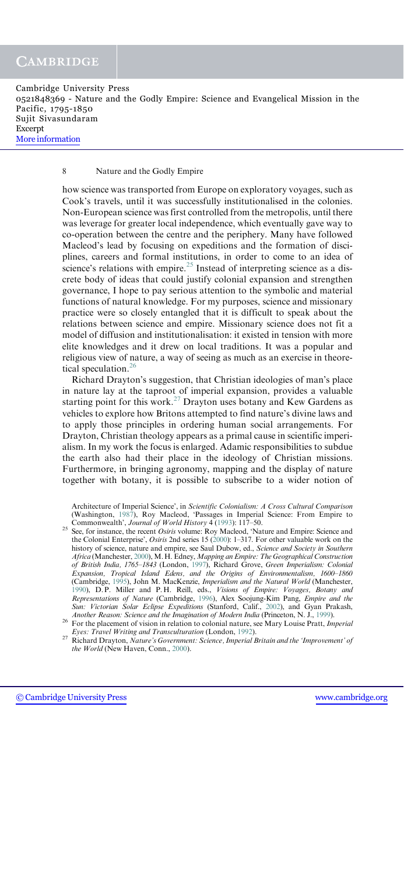Cambridge University Press 0521848369 - Nature and the Godly Empire: Science and Evangelical Mission in the Pacific, 1795-1850 Sujit Sivasundaram Excerpt [More information](http://www.cambridge.org/0521848369)

#### 8 Nature and the Godly Empire

how science was transported from Europe on exploratory voyages, such as Cook's travels, until it was successfully institutionalised in the colonies. Non-European science was first controlled from the metropolis, until there was leverage for greater local independence, which eventually gave way to co-operation between the centre and the periphery. Many have followed Macleod's lead by focusing on expeditions and the formation of disciplines, careers and formal institutions, in order to come to an idea of science's relations with empire.<sup>25</sup> Instead of interpreting science as a discrete body of ideas that could justify colonial expansion and strengthen governance, I hope to pay serious attention to the symbolic and material functions of natural knowledge. For my purposes, science and missionary practice were so closely entangled that it is difficult to speak about the relations between science and empire. Missionary science does not fit a model of diffusion and institutionalisation: it existed in tension with more elite knowledges and it drew on local traditions. It was a popular and religious view of nature, a way of seeing as much as an exercise in theoretical speculation.<sup>26</sup>

Richard Drayton's suggestion, that Christian ideologies of man's place in nature lay at the taproot of imperial expansion, provides a valuable starting point for this work.<sup>27</sup> Drayton uses botany and Kew Gardens as vehicles to explore how Britons attempted to find nature's divine laws and to apply those principles in ordering human social arrangements. For Drayton, Christian theology appears as a primal cause in scientific imperialism. In my work the focus is enlarged. Adamic responsibilities to subdue the earth also had their place in the ideology of Christian missions. Furthermore, in bringing agronomy, mapping and the display of nature together with botany, it is possible to subscribe to a wider notion of

Architecture of Imperial Science', in Scientific Colonialism: A Cross Cultural Comparison (Washington, 1987), Roy Macleod, 'Passages in Imperial Science: From Empire to Commonwealth', Journal of World History 4 (1993): 117–50.

<sup>25</sup> See, for instance, the recent Osiris volume: Roy Macleod, 'Nature and Empire: Science and the Colonial Enterprise', Osiris 2nd series 15 (2000): 1–317. For other valuable work on the history of science, nature and empire, see Saul Dubow, ed., Science and Society in Southern Africa (Manchester, 2000), M. H. Edney, Mapping an Empire: The Geographical Construction of British India, 1765–1843 (London, 1997), Richard Grove, Green Imperialism: Colonial Expansion, Tropical Island Edens, and the Origins of Environmentalism, 1600–1860 (Cambridge, 1995), John M. MacKenzie, Imperialism and the Natural World (Manchester, 1990), D.P. Miller and P.H. Reill, eds., Visions of Empire: Voyages, Botany and Representations of Nature (Cambridge, 1996), Alex Soojung-Kim Pang, Empire and the Sun: Victorian Solar Eclipse Expeditions (Stanford, Calif., 2002), and Gyan Prakash, Another Reason: Science and the Imagination of Modern India (Princeton, N. J., 1999).

<sup>26</sup> For the placement of vision in relation to colonial nature, see Mary Louise Pratt, *Imperial* 

Eyes: Travel Writing and Transculturation (London, 1992). <sup>27</sup> Richard Drayton, Nature's Government: Science, Imperial Britain and the 'Improvement' of the World (New Haven, Conn., 2000).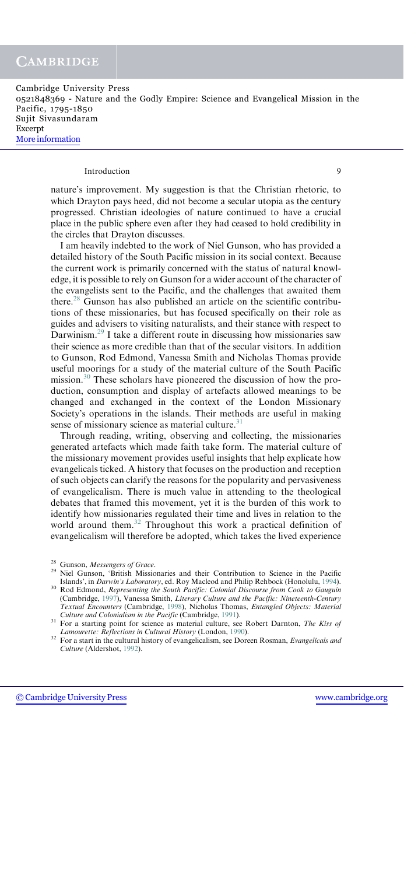#### Introduction 9

nature's improvement. My suggestion is that the Christian rhetoric, to which Drayton pays heed, did not become a secular utopia as the century progressed. Christian ideologies of nature continued to have a crucial place in the public sphere even after they had ceased to hold credibility in the circles that Drayton discusses.

I am heavily indebted to the work of Niel Gunson, who has provided a detailed history of the South Pacific mission in its social context. Because the current work is primarily concerned with the status of natural knowledge, it is possible to rely on Gunson for a wider account of the character of the evangelists sent to the Pacific, and the challenges that awaited them there.<sup>28</sup> Gunson has also published an article on the scientific contributions of these missionaries, but has focused specifically on their role as guides and advisers to visiting naturalists, and their stance with respect to Darwinism.<sup>29</sup> I take a different route in discussing how missionaries saw their science as more credible than that of the secular visitors. In addition to Gunson, Rod Edmond, Vanessa Smith and Nicholas Thomas provide useful moorings for a study of the material culture of the South Pacific mission.<sup>30</sup> These scholars have pioneered the discussion of how the production, consumption and display of artefacts allowed meanings to be changed and exchanged in the context of the London Missionary Society's operations in the islands. Their methods are useful in making sense of missionary science as material culture. $31$ 

Through reading, writing, observing and collecting, the missionaries generated artefacts which made faith take form. The material culture of the missionary movement provides useful insights that help explicate how evangelicals ticked. A history that focuses on the production and reception of such objects can clarify the reasons for the popularity and pervasiveness of evangelicalism. There is much value in attending to the theological debates that framed this movement, yet it is the burden of this work to identify how missionaries regulated their time and lives in relation to the world around them.<sup>32</sup> Throughout this work a practical definition of evangelicalism will therefore be adopted, which takes the lived experience

<sup>&</sup>lt;sup>28</sup> Gunson, *Messengers of Grace*.<br><sup>29</sup> Niel Gunson, 'British Missionaries and their Contribution to Science in the Pacific Islands', in *Darwin's Laboratory*, ed. Roy Macleod and Philip Rehbock (Honolulu, 1994).

<sup>&</sup>lt;sup>30</sup> Rod Edmond, Representing the South Pacific: Colonial Discourse from Cook to Gauguin (Cambridge, 1997), Vanessa Smith, Literary Culture and the Pacific: Nineteenth-Century Textual Encounters (Cambridge, 1998), Nicholas Thomas, Entangled Objects: Material

<sup>&</sup>lt;sup>31</sup> For a starting point for science as material culture, see Robert Darnton, *The Kiss of Lamourette: Reflections in Cultural History* (London, 1990).

<sup>22</sup> For a start in the cultural history of evangelicalism, see Doreen Rosman, Evangelicals and Culture (Aldershot, 1992).